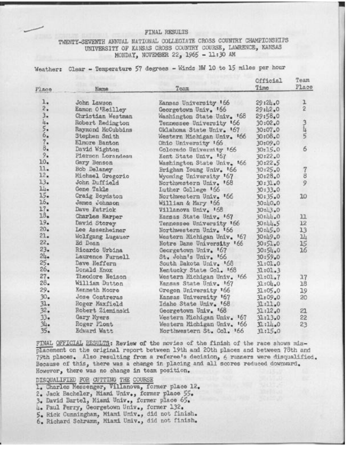### FINAL RESULTS

TWENTY-SEVENTH ANNUAL NATIONAL COLLEGIATE CROSS COUNTRY CHAMPIONSHIPS UNIVERSITY OF KANSAS CROSS COUNTRY COURSE, LAWRENCE, KANSAS MONDAY, NOVEMBER 22, 1965 - 11:30 AM

Weather: Clear - Temperature 57 degrees - Winds MW 10 to 15 miles per hour

| Place                  | Name               | Team                       | Official<br>Time   | Team<br>Place  |
|------------------------|--------------------|----------------------------|--------------------|----------------|
| ı.                     | John Lawson        | Kansas University '66      | 29:21.0            | ı              |
| 2.                     | Eamon O'Reilley    | Georgetown Univ. '66       | 29:12.0            | $\overline{2}$ |
| 3.                     | Christian Westman  | Washington State Univ. 168 | 29:58.0            |                |
| 4.                     | Robert Redington   | Tennessee University '66   | 30:02.0            |                |
| 5.                     | Raymond McCubbins  | Oklahoma State Univ. 167   | 30:07.0            |                |
| 6.                     | Stephen Smith      | Western Michigan Univ. '66 | 30:08.0            | コルゴ            |
| 7.                     | Elmore Banton      | Ohio University 166        | 30:09.0            |                |
| 8.                     | David Wighton      | Colorado University 166    | 30:15.0            | 6              |
| 9.                     | Pierson Lorandeau  | Kent State Univ. 167       | 30:22.0            |                |
| 10 <sub>•</sub>        | Gary Benson        | Washington State Univ. 166 | 30:22.5            |                |
| 11.                    | Bob Delaney        | Brigham Young Univ. '66    | 30:25.0            |                |
| 12.                    | Michael Gregoric   | Wyoming University '67     | 30:28.0            |                |
| 13.                    | John Duffield      | Northwestern Univ. '68     | 30:31.0            | $\frac{7}{9}$  |
| $\mathbf{u}_{\bullet}$ | Gene Takle         | Luther College '66         | 30:33.0            |                |
| 15.                    | Craig Boydston     | Northwestern Univ. '66     | 30:35.0            | 10             |
| 16.                    | James Johnson      | William & Mary '66         | 30:40.0            |                |
| 17.                    | Dave Patrick       | Villanova Univ. '68        | 30:13.0            |                |
| 18.                    | Charles Harper     | Kansas State Univ. '67     | 30:44.0            | 11             |
| 19.                    | David Storey       | Tennessee University 166   | 30:44.5            | 12             |
| $20 +$                 | Lee Assenheimer    | Northwestern Univ. '66     | 30:45.0            | 13             |
| 21.                    | Wolfgang Lugauer   | Western Michigan Univ. '67 | 30:49.0            | 14             |
| 22.                    | Ed Dean            | Notre Dame University '66  | 30:51.0            | 15             |
| $23-$                  | Ricardo Urbina     | Georgetown Univ. '67       | 30:54.0            | 16             |
| $24 -$                 | Laurence Furnell   | St. John's Univ. '66       |                    |                |
| $25 -$                 | Dave Heffern       | South Dakota Univ. '68     | 30:59.0<br>31:01.0 |                |
| 26.                    | Donald Knox        | Kentucky State Col. '68    | 31:01.3            |                |
| 27.                    | Theodore Neison    | Western Michigan Univ. '66 | 31:01.7            | 17             |
| 28.                    | William Dutton     | Kansas State Univ. 167     | $31:04*0$          | 18             |
| 29.                    | Kenneth Moore      |                            |                    |                |
| 30 <sub>o</sub>        | Jose Contreras     | Oregon University '66      | 31:05.0            | 19             |
| 31.                    | Roger Maxfield     | Kansas University '67      | 31:09.0            | 20             |
| $32 -$                 | Robert Zieminski   | Idaho State Univ. '68      | 31:11.0            |                |
|                        |                    | Georgetown Univ. '68       | 31:12.0            | 21             |
| 33.                    | Gary Myers         | Western Michigan Univ. 167 | 31:13.0            | 55             |
| 34.                    | Roger Plont        | Western Michigan Univ. '66 | $31:11*0$          | 23             |
| $35 -$                 | <b>Edward Watt</b> | Northwestern St. Col. '66  | 31:15.0            |                |

FINAL OFFICIAL RESULTS: Review of the movies of the finish of the race shows misplacement on the original report between 19th and 20th places and between 78th and 79th places. Also resulting from a referee's decision, 6 runners were disqualified. Because of this, there was a change in placing and all scores reduced downward. However, there was no change in team position.

DISQUALIFIED FOR CUTTING THE COURSE

L. Charles Messenger, Villanova, former place 12.

2. Jack Bacheler, Miani Univ., former place 55.

3. David Bartel, Miani Univ., former place 65.

4. Paul Perry, Georgetown Univ., former 132.

5. Rick Cunningham, Miami Univ., did not finish.

6. Richard Schramm, Miami Univ., did not finish.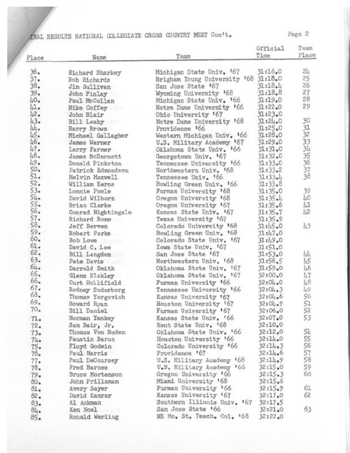1NAL RESULTS NATIONAL OOLLEGIATE CROSS OOUNTRYMEET Cont t,

|        |                        |                                      | Official  | Team     |
|--------|------------------------|--------------------------------------|-----------|----------|
| Place  | Name                   | Team                                 | Time      | Place    |
| 36.    |                        | Michigan State Univ. 167             | 31:16.0   | 2h       |
|        | Richard Sharkey        |                                      |           | 25       |
| 37.    | Bob Richards           | Brigham Young University '68 31:18.0 | 31:18.4   | 26       |
| 38.    | Jim Sullivan           | San Jose State '67                   |           | 27       |
| $39 -$ | John Finlay            | Wyoming University 168               | 31:18.8   | 28       |
| 40.    | Paul McCollan          | Michigan State Univ. 166             | 31:19.0   |          |
| 41.    | Mike Coffey            | Notre Dame University 166            | 31:22.0   | 29       |
| 42.    | John Blair             | Ohio University '67                  | 31:23.0   |          |
| 43.    | Bill Leahy             | Notre Dame University '68            | 31:24.0   | 30       |
| Щ.     | Barry Brown            | Providence 166                       | 31:25.0   | 3132334  |
| 45.    | Michael Gallagher      | Western Michigan Univ. 166           | 31:28.0   |          |
| 46.    | James Warner           | U.S. Military Academy '67            | 31:29.0   |          |
| 47.    | Larry Farmer           | Oklahoma State Univ. 166             | 31:31.0   |          |
| 48.    | James McDermott        | Georgetown Univ. 167                 | 31:32.0   |          |
| 49.    | Donald Pinkston        | Tennessee University 166             | 31:33.0   | 35<br>36 |
| 50.    | Patrick Edmondson      | Northwestern Univ. 168               | 31:33.2   | 37       |
| 51.    | Melvin Maxwell         | Tennessee Univ. '66                  | 31:33.4   | 38       |
| 52.    | William Kerns          | Bowling Green Univ. 166              | 31:33.8   |          |
| $53-$  | Lonnie Poole           | Furman University '68                | 31:35.0   | 39       |
| 54.    |                        |                                      | 31:35.1   | 40       |
| 55.    | David Wilborn          | Oregon University 168                |           | Щ        |
| 56.    | Brian Clarke           | Oregon University 167                | 31:35.6   |          |
|        | Conrad Nightingale     | Kansas State Univ. 167               | 31:35.7   | Li2      |
| 57.    | Richard Romo           | Texas University '67                 | $31:35-9$ |          |
| 58.    | Jeff Berven            | Colorado University 168              | 31:1.5.0  | $\mu$ 3  |
| 59.    | Robert Parks           | Bowling Green Univ. 168              | 31:47.0   |          |
| 60.    | Bob Lowe               | Colorado State Univ. 167             | 31:19.0   |          |
| 61.    | David C. Lee           | Iowa State Univ. 167                 | 31:51.0   |          |
| 62.    | Bill Langdon           | San Jose State 167                   | 31:53.0   | Щ,       |
| 63.    | Pete Davis             | Northwestern Univ. 168               | 31:58.5   | 45       |
| 64.    | Darrold Smith          | Oklahoma State Univ. 167             | 31:59.0   | 46       |
| 65.    | Glenn Blakley          | Oklahoma State Univ. 167             | 32:00.0   | 47       |
| 66.    | Curt Hollifield        | Furnan University 166                | 32:04.0   | 48       |
| 67.    | Rodney Soderberg       | Tennessee University 166             | $32:04-3$ | 49       |
| 68.    | Thomas Yergovich       | Kansas University '67                | 32:04.6   | 50       |
| 69.    |                        | Houston University '67               | $32:04-9$ | 51       |
| 70.    | Howard Ryan            |                                      |           | 52       |
|        | <b>Bill Daniel</b>     | Furnan University '67                | 32:06.0   |          |
| 71.    | Norman Yenkey          | Kansas State Univ. 166               | 32:07.0   | 53       |
| 72.    | Sam Bair, Jr.          | Kent State Univ. 168                 | 32:10.0   |          |
| 73.    | Thomas Von Ruden       | Oklahoma State Univ. 166             | 32:12.0   | 54       |
| 74.    | Faustin Baron          | Houston University '66               | 32:11.0   | 55       |
| $75 -$ | Floyd Godwin           | Colorado University '66              | 32:11.3   | 56       |
| 76.    | Paul Harris            | Providence '67                       | 32:11.6   | 57       |
| 77.    | Paul DeCoursey         | U.S. Military Academy '68            | 32:11.9   | 58       |
| 78.    | Fred Barnes            | U.S. Military Academy '66            | 32:15.0   | 59       |
| 79.    | <b>Bruce Mortenson</b> | Oregon University 166                | 32:15.3   | 60       |
| 80.    | John Prillaman         | Miami University '68                 | 32:15.6   |          |
| 81.    | Avery Sayer            | Furman University '66                | 32:15.9   | 61       |
| 82.    | David Kamrar           | Kansas University '67                | 32:17.0   | 62       |
|        |                        | Southern Illinois Univ. 167          | 32:17.5   |          |
| $83-$  | Al Ackman              | San Jose State 166                   | 32:21.0   | 63       |
| $8L -$ | Ken Noel               |                                      |           |          |
| $85-$  | Ronald Werling         | NE Mo. St. Teach. Col. '68           | 32:22.0   |          |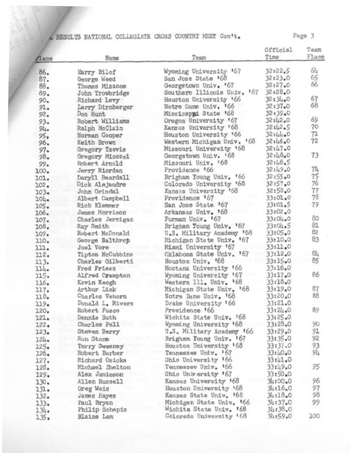# L RESULTS NATIONAL COLLEGIATE CROSS COUNTRY MEET Con't.

|        |                  |                             | Official | Team  |
|--------|------------------|-----------------------------|----------|-------|
| Place  | Name             | Team                        | Time     | Place |
| 86.    | Harry Bilof      | Wyoming University '67      | 32:22.5  | 64    |
| $87-$  |                  | San Jose State '68          | 32:23.0  | 65    |
|        | George Weed      |                             | 32:27.0  | 66    |
| 88.    | Thomas Mizzone   | Georgetown Univ. '67        | 32:28.0  |       |
| 89.    | John Trowbridge  | Southern Illinois Univ. '67 |          | 67    |
| 90.    | Richard Levy     | Houston University '66      | 32:34.0  | 68    |
| 91.    | Larry Dirnberger | Notre Dame Univ. '66        | 32:37.0  |       |
| 92.    | Don Hunt         | Mississppi State 168        | 32:39.0  |       |
| 93.    | Robert Williams  | Oregon University '67       | 32:42.0  | 69    |
| $94 -$ | Ralph McClain    | Kansas University '68       | 32:42.5  | 70    |
| 95,    | Norman Cooper    | Houston University '66      | 32:44.0  | 71    |
| 96.    | Keith Brown      | Western Michigan Univ. '68  | 32:46.0  | 72    |
| $97-$  | Gregory Tsevis   | Missouri University '68     | 32:47.0  |       |
| $98 -$ | Gregory Micozzi  | Georgetown Univ. '68        | 32:48.0  | 73    |
| $99 -$ | Robert Arnold    | Missouri Univ. '68          | 32:18.5  |       |
| 100.   | Jerry Riordan    | Providence '66              | 32:49.0  | 71    |
| 101.   | Daryll Beardall  | Brigham Young Univ. '66     | 32:55.0  | 75    |
| 102.   | Dick Alejandre   | Colorado University '68     | 32:57.0  | 76    |
| 103.   | John Grindal     | Kansas University '68       | 32:58.0  | 77    |
| 104.   | Albert Campbell  | Providence '67              | 33:01.0  | 78    |
| 105.   | Rich Klemmer     | San Jose State '67          | 33:01.5  | 79    |
| 106.   | James Morrison   | Arkansas Univ. 168          | 33:02.0  |       |
| 107.   | Charles Jernigan | Furman Univ. 167            | 33:04.0  | 80    |
| 108.   | Ray Smith        | Brigham Young Univ. 167     | 33:04.5  | 81    |
|        | Robert McDonald  | U.S. Military Academy '68   | 33:05.0  | 82    |
| 109.   |                  |                             | 33:10.0  | 83    |
| 110.   | George Balthrop  | Michigan State Univ. '67    |          |       |
| 111.   | Joel Vore        | Miami University '67        | 33:11.0  | 84    |
| 112.   | Tipton McCubbins | Oklahoma State Univ. '67    | 33:12.0  |       |
| 113.   | Charles Gilberti | Houston Univ. '68           | 33:15.0  | 85    |
| 114.   | Fred Friesz      | Nontana University '66      | 33:16.0  |       |
| 115.   | Alfred Crampton  | Wyoming University '67      | 33:17.0  | 86    |
| 116.   | Kevin Keogh      | Western Ill. Univ. '68      | 33:18.0  |       |
| 117.   | Arthur Link      | Michigan State Univ. '68    | 33:19.0  | 87    |
| 118.   | Charles Vehorn   | Notre Dame Univ. 168        | 33:20.0  | 88    |
| 119.   | Donald L. Rivers | Drake University 166        | 33:21.0  |       |
| 120.   | Robert Fusco     | Providence 166              | 33:24.0  | 89    |
| 121.   | Dennis Buth      | Wichita State Univ. '68     | 33:25.0  |       |
| 122.   | Charles Pell     | Wyoming University '68      | 33:28.0  | 90    |
| 123.   | Steven Berry     | U.S. Military Academy '66   | 33:29.0  | 91    |
| 124.   | Ron Stone        | Brigham Young Univ. '67     | 33:35.0  | 92    |
| 125.   | Terry Sweeney    | Houston University 168      | 33:37.0  | 93    |
| 126.   | Robert Barber    | Tennessee Univ. '67         | 33:40.0  | 94    |
| 127.   | Richard Osicka   | Ohio University 166         | 33:41.0  |       |
| 128.   | Michael Shelton  | Tennessee Univ. 166         | 33:49.0  | 95    |
|        |                  | Ohio University '67         | 33:50.0  |       |
| 129.   | Alex Jamieson    |                             |          |       |
| 130.   | Allen Russell    | Kansas University 168       | 34:00.0  | 96    |
| 131.   | Greg Weis        | Houston University 168      | 31:16.0  | 97    |
| 132.   | James Hayes      | Kansas State Univ. 168      | 31:18.0  | 98    |
| 133.   | Paul Bryan       | Michigan State Univ. 166    | 34:37.0  | 99    |
| 134.   | Philip Schepis   | Wichita State Univ. #68     | 34:38.0  |       |
| 135.   | Blaine Lam       | Colorado University '68     | 34:59.0  | 100   |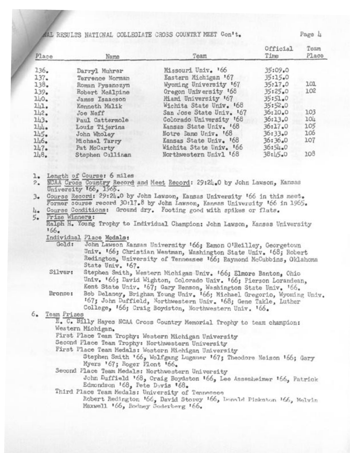### AAL RESULTS NATIONAL COLLEGIATE CROSS COUNTRY MEET Con't.

| Place | Name             | Team                     | Official<br>Time | Team<br>Place |
|-------|------------------|--------------------------|------------------|---------------|
| 136.  | Darryl Muhrer    | Missouri Univ. 166       | 35:09.0          |               |
| 137.  | Terrence Norman  | Eastern Michigan '67     | 35:15.0          |               |
| 138.  | Roman Pysanczyn  | Wyoming University '67   | 35:17.0          | 101           |
| 139.  | Robert McAlpine  | Oregon University '68    | 35:25.0          | 102           |
| 110.  | James Isaacson   | Miami University '67     | 35:51.0          |               |
| 141.  | Kenneth Malik    | Wichita State Univ. '68  | 35:52.0          |               |
| 112.  | Joe Neff         | San Jose State Univ. '67 | 36:10.0          | 103           |
| 143.  | Paul Cattermole  | Colorado University '68  | 36:13.0          | 104           |
| 1111  | Louis Tijerina   | Kansas State Univ. 168   | 36:17.0          | 105           |
| 145.  | John Wholey      | Notre Dame Univ. '68     | 36:33.0          | 106           |
| 116.  | Michael Tarry    | Kansas State Univ. 168   | 36:36.0          | 107           |
| 147.  | Pat McCarty      | Wichita State Univ. '66  | 36:54.0          |               |
| 148.  | Stephen Cullinan | Northwestern Univl '68   | 38:45.0          | 108           |

L. Length of Course: 6 miles

P. NCAA Cross Country Record and Meet Record: 29:24.0 by John Lawson, Kansas University 166, 1965.<br>3. Course Record: 29:24.0 by John Lawson, Kansas University 166 in this meet

Former course record 30:17.8 by John Lawson, Kansas University '66 in 1965.

4. Course Conditions: Ground dry. Footing good with spikes or flats. 5.

Ralph H. Young Trophy to Individual Champion: John Lawson, Kansas University 166.

Individual Place Medals: Gold: John Lawson Kansas University '66; Eamon O'Reilley, Georgetown Univ. 166; Christian Westman, Washington State Univ. 168; Robert Redington, University of Tennessee 166; Raymond McCubbins, Oklahoma State Univ. 167.

Silver: Stephen Smith, Western Michigan Univ. 166; Elmore Banton, Ohio Univ. '66; David Wighton, Colorado Univ. '66; Pierson Lorandean, Kent State Univ. '67; Gary Benson, Washington State Univ. 166.

Bronze: Bob Delaney, Brigham Young Univ. 166; Michael Gregorio, Wyoming Univ. *167;* John Duffield, Northwestern Univ. '68; Gene Takle, Luther College, '66; Craig Boydston, Northwestern Univ. 166.

Team Prizes 6.

E. C. Billy Hayes NCAA Cross Country Memorial Trophy to team champion:<br>Western Michigan.

First Place Team Trophy: Western Michigan University

Second Place Team Trophy: Northwestern University<br>First Place Team Medals: Western Michigan University

Stephen Smith 166, Wolfgang Luganer 167; Theodore Neison 166; Gary<br>Myers 167; Roger Plont 166.

Second Place Team Medals: Northwestern University<br>John Duffield <sup>1</sup>68, Craig Boydston <sup>1</sup>66, Lee Assenheimer '66, Patrick Edmondson '68, Pete Davis '68.

Third Place Team Medals: University of Tennesses<br>Robert Redington 166, David Storey 166, Dennld Pinkston 166, Melvin Maxwell '66, Rodney 3oderberg '66.